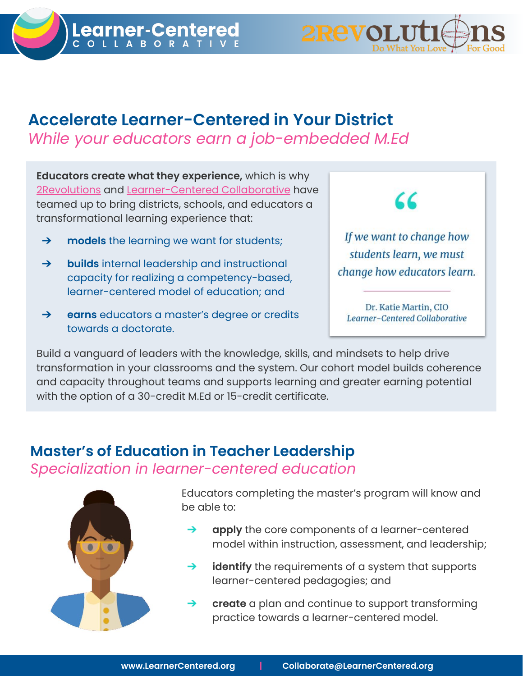

## Accelerate Learner-Centered in Your District While your educators earn a job-embedded M.Ed

Educators create what they experience, which is why [2Revolutions](https://www.2revolutions.net/) and [Learner-Centered Collaborative](https://learnercentered.org/) have teamed up to bring districts, schools, and educators a transformational learning experience that:

- **→** models the learning we want for students;
- → **builds** internal leadership and instructional capacity for realizing a competency-based, learner-centered model of education; and
- ➔ earns educators a master's degree or credits towards a doctorate.

 $\epsilon$ 

If we want to change how students learn, we must change how educators learn.

Dr. Katie Martin, CIO Learner-Centered Collaborative

Build a vanguard of leaders with the knowledge, skills, and mindsets to help drive transformation in your classrooms and the system. Our cohort model builds coherence and capacity throughout teams and supports learning and greater earning potential with the option of a 30-credit M.Ed or 15-credit certificate.

## Master's of Education in Teacher Leadership Specialization in learner-centered education



Educators completing the master's program will know and be able to:

- apply the core components of a learner-centered model within instruction, assessment, and leadership;
- $\rightarrow$  identify the requirements of a system that supports learner-centered pedagogies; and
- $\rightarrow$  create a plan and continue to support transforming practice towards a learner-centered model.